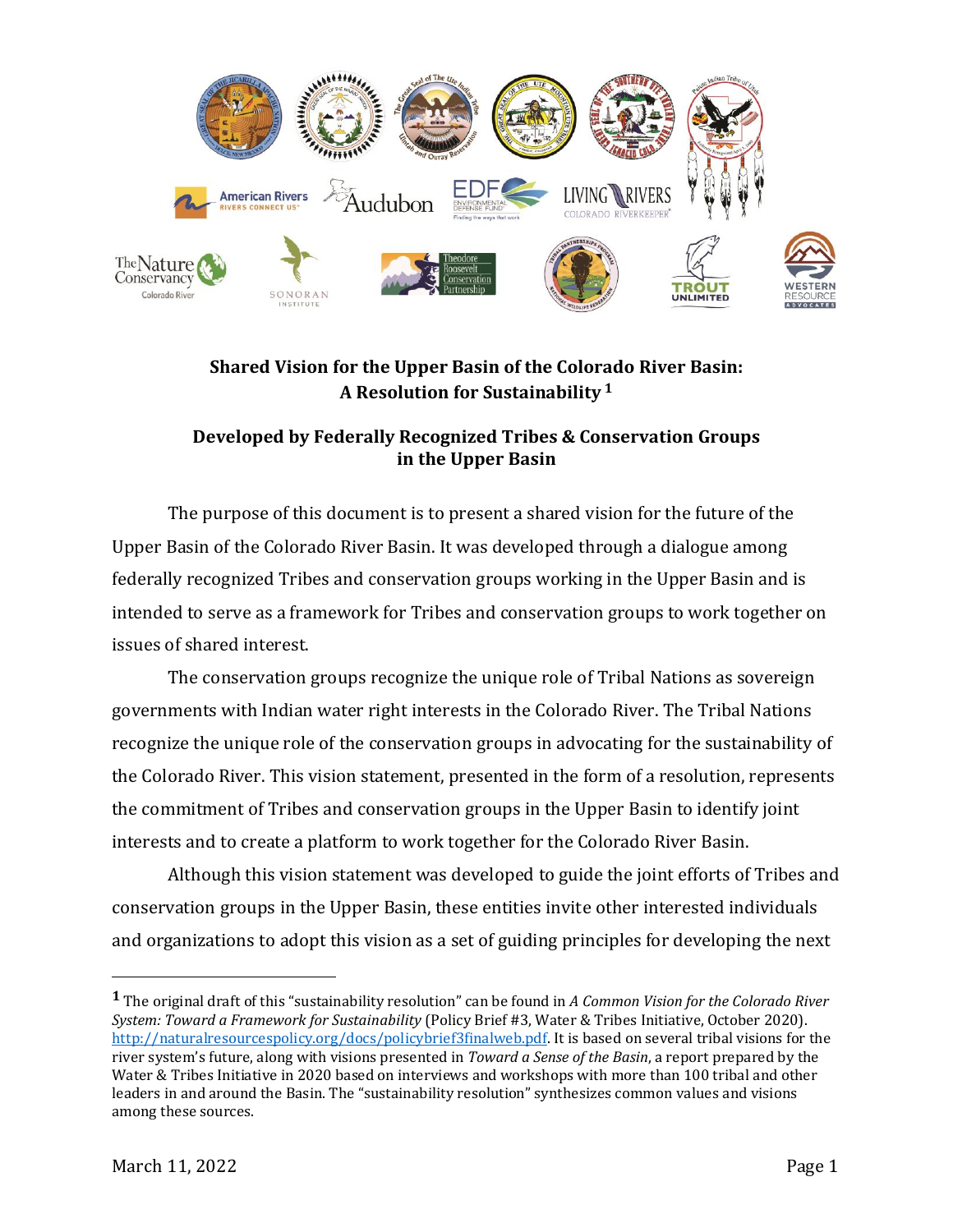

## **Shared Vision for the Upper Basin of the Colorado River Basin: A Resolution for Sustainability <sup>1</sup>**

## **Developed by Federally Recognized Tribes & Conservation Groups in the Upper Basin**

The purpose of this document is to present a shared vision for the future of the Upper Basin of the Colorado River Basin. It was developed through a dialogue among federally recognized Tribes and conservation groups working in the Upper Basin and is intended to serve as a framework for Tribes and conservation groups to work together on issues of shared interest.

The conservation groups recognize the unique role of Tribal Nations as sovereign governments with Indian water right interests in the Colorado River. The Tribal Nations recognize the unique role of the conservation groups in advocating for the sustainability of the Colorado River. This vision statement, presented in the form of a resolution, represents the commitment of Tribes and conservation groups in the Upper Basin to identify joint interests and to create a platform to work together for the Colorado River Basin.

Although this vision statement was developed to guide the joint efforts of Tribes and conservation groups in the Upper Basin, these entities invite other interested individuals and organizations to adopt this vision as a set of guiding principles for developing the next

**<sup>1</sup>** The original draft of this "sustainability resolution" can be found in *A Common Vision for the Colorado River System: Toward a Framework for Sustainability* (Policy Brief #3, Water & Tribes Initiative, October 2020). [http://naturalresourcespolicy.org/docs/policybrief3finalweb.pdf.](http://naturalresourcespolicy.org/docs/policybrief3finalweb.pdf) It is based on several tribal visions for the river system's future, along with visions presented in *Toward a Sense of the Basin*, a report prepared by the Water & Tribes Initiative in 2020 based on interviews and workshops with more than 100 tribal and other leaders in and around the Basin. The "sustainability resolution" synthesizes common values and visions among these sources.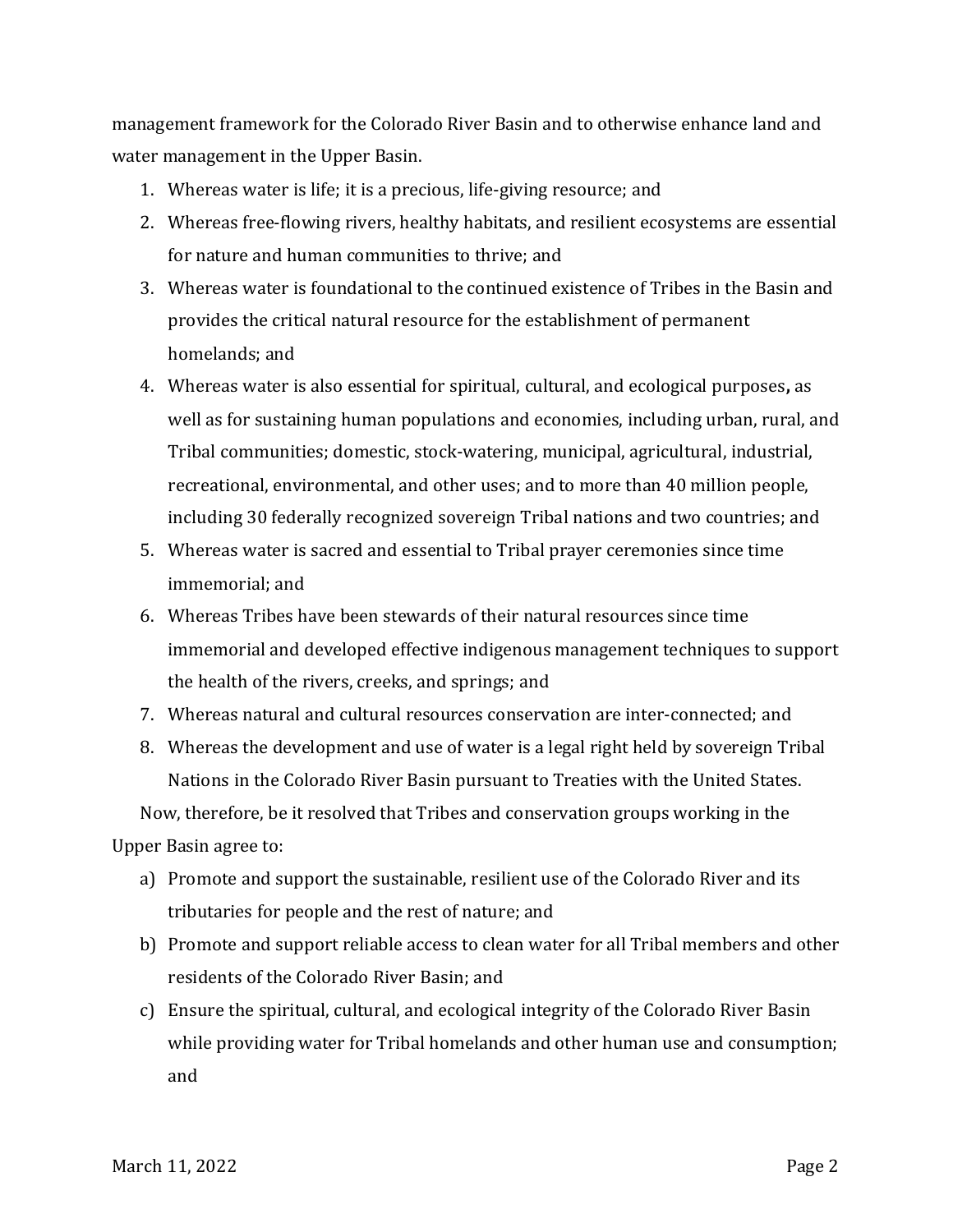management framework for the Colorado River Basin and to otherwise enhance land and water management in the Upper Basin.

- 1. Whereas water is life; it is a precious, life-giving resource; and
- 2. Whereas free-flowing rivers, healthy habitats, and resilient ecosystems are essential for nature and human communities to thrive; and
- 3. Whereas water is foundational to the continued existence of Tribes in the Basin and provides the critical natural resource for the establishment of permanent homelands; and
- 4. Whereas water is also essential for spiritual, cultural, and ecological purposes**,** as well as for sustaining human populations and economies, including urban, rural, and Tribal communities; domestic, stock-watering, municipal, agricultural, industrial, recreational, environmental, and other uses; and to more than 40 million people, including 30 federally recognized sovereign Tribal nations and two countries; and
- 5. Whereas water is sacred and essential to Tribal prayer ceremonies since time immemorial; and
- 6. Whereas Tribes have been stewards of their natural resources since time immemorial and developed effective indigenous management techniques to support the health of the rivers, creeks, and springs; and
- 7. Whereas natural and cultural resources conservation are inter-connected; and
- 8. Whereas the development and use of water is a legal right held by sovereign Tribal Nations in the Colorado River Basin pursuant to Treaties with the United States.

Now, therefore, be it resolved that Tribes and conservation groups working in the

Upper Basin agree to:

- a) Promote and support the sustainable, resilient use of the Colorado River and its tributaries for people and the rest of nature; and
- b) Promote and support reliable access to clean water for all Tribal members and other residents of the Colorado River Basin; and
- c) Ensure the spiritual, cultural, and ecological integrity of the Colorado River Basin while providing water for Tribal homelands and other human use and consumption; and